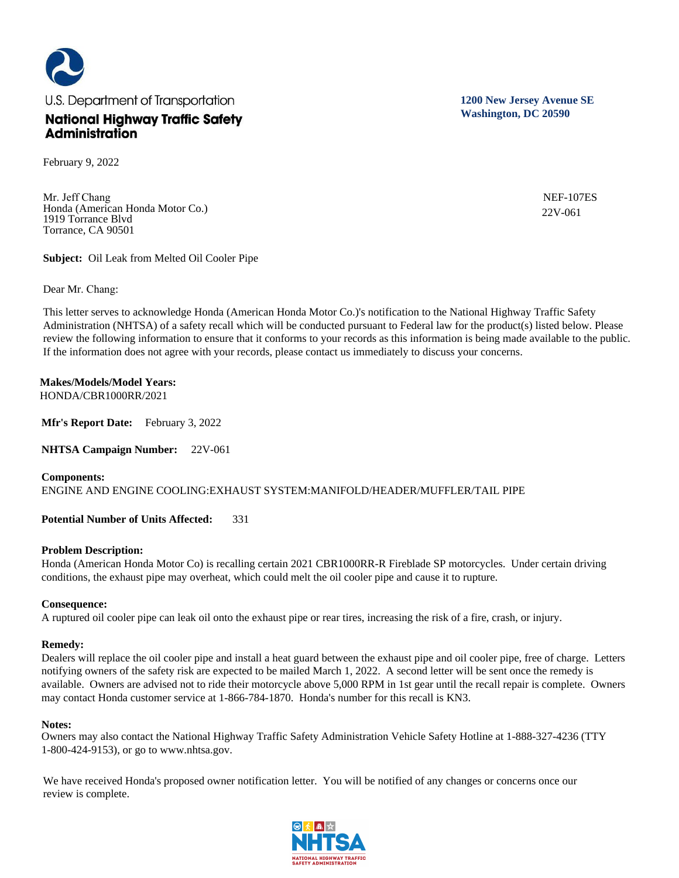U.S. Department of Transportation **National Highway Traffic Safety Administration** 

February 9, 2022

Mr. Jeff Chang Honda (American Honda Motor Co.) 1919 Torrance Blvd Torrance, CA 90501

**Subject:** Oil Leak from Melted Oil Cooler Pipe

Dear Mr. Chang:

This letter serves to acknowledge Honda (American Honda Motor Co.)'s notification to the National Highway Traffic Safety Administration (NHTSA) of a safety recall which will be conducted pursuant to Federal law for the product(s) listed below. Please review the following information to ensure that it conforms to your records as this information is being made available to the public. If the information does not agree with your records, please contact us immediately to discuss your concerns.

**Makes/Models/Model Years:**  HONDA/CBR1000RR/2021

**Mfr's Report Date:** February 3, 2022

**NHTSA Campaign Number:** 22V-061

# **Components:**

ENGINE AND ENGINE COOLING:EXHAUST SYSTEM:MANIFOLD/HEADER/MUFFLER/TAIL PIPE

**Potential Number of Units Affected:** 331

# **Problem Description:**

Honda (American Honda Motor Co) is recalling certain 2021 CBR1000RR-R Fireblade SP motorcycles. Under certain driving conditions, the exhaust pipe may overheat, which could melt the oil cooler pipe and cause it to rupture.

# **Consequence:**

A ruptured oil cooler pipe can leak oil onto the exhaust pipe or rear tires, increasing the risk of a fire, crash, or injury.

# **Remedy:**

Dealers will replace the oil cooler pipe and install a heat guard between the exhaust pipe and oil cooler pipe, free of charge. Letters notifying owners of the safety risk are expected to be mailed March 1, 2022. A second letter will be sent once the remedy is available. Owners are advised not to ride their motorcycle above 5,000 RPM in 1st gear until the recall repair is complete. Owners may contact Honda customer service at 1-866-784-1870. Honda's number for this recall is KN3.

# **Notes:**

Owners may also contact the National Highway Traffic Safety Administration Vehicle Safety Hotline at 1-888-327-4236 (TTY 1-800-424-9153), or go to www.nhtsa.gov.

We have received Honda's proposed owner notification letter. You will be notified of any changes or concerns once our review is complete.



**1200 New Jersey Avenue SE Washington, DC 20590**

> NEF-107ES 22V-061